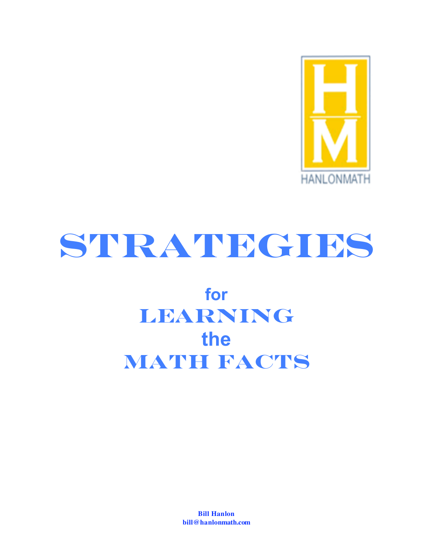

# **Strategies**

# **for Learning the Math Facts**

**Bill Hanlon bill@hanlonmath.com**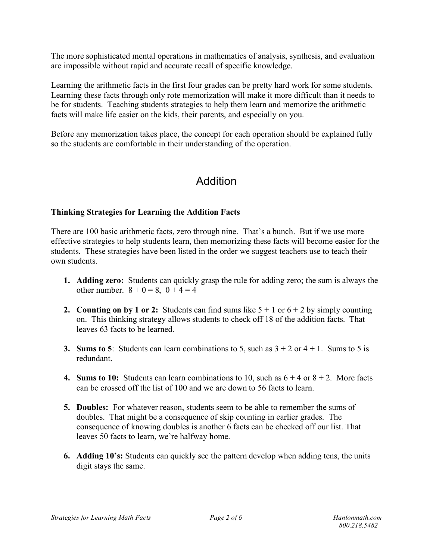The more sophisticated mental operations in mathematics of analysis, synthesis, and evaluation are impossible without rapid and accurate recall of specific knowledge.

Learning the arithmetic facts in the first four grades can be pretty hard work for some students. Learning these facts through only rote memorization will make it more difficult than it needs to be for students. Teaching students strategies to help them learn and memorize the arithmetic facts will make life easier on the kids, their parents, and especially on you.

Before any memorization takes place, the concept for each operation should be explained fully so the students are comfortable in their understanding of the operation.

### Addition

#### **Thinking Strategies for Learning the Addition Facts**

There are 100 basic arithmetic facts, zero through nine. That's a bunch. But if we use more effective strategies to help students learn, then memorizing these facts will become easier for the students. These strategies have been listed in the order we suggest teachers use to teach their own students.

- **1. Adding zero:** Students can quickly grasp the rule for adding zero; the sum is always the other number.  $8 + 0 = 8$ ,  $0 + 4 = 4$
- **2. Counting on by** 1 or 2: Students can find sums like  $5 + 1$  or  $6 + 2$  by simply counting on. This thinking strategy allows students to check off 18 of the addition facts. That leaves 63 facts to be learned.
- **3. Sums to 5**: Students can learn combinations to 5, such as  $3 + 2$  or  $4 + 1$ . Sums to 5 is redundant.
- **4. Sums to 10:** Students can learn combinations to 10, such as  $6 + 4$  or  $8 + 2$ . More facts can be crossed off the list of 100 and we are down to 56 facts to learn.
- **5. Doubles:** For whatever reason, students seem to be able to remember the sums of doubles. That might be a consequence of skip counting in earlier grades. The consequence of knowing doubles is another 6 facts can be checked off our list. That leaves 50 facts to learn, we're halfway home.
- **6. Adding 10's:** Students can quickly see the pattern develop when adding tens, the units digit stays the same.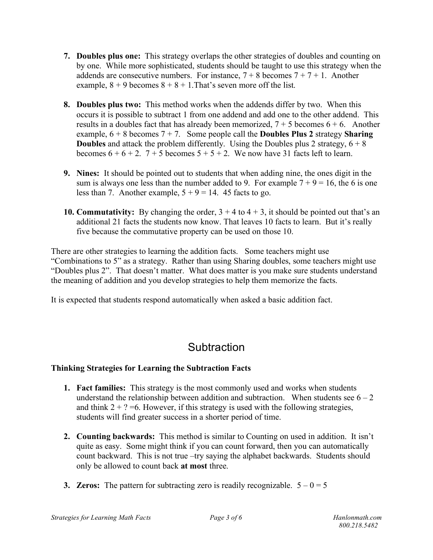- **7. Doubles plus one:** This strategy overlaps the other strategies of doubles and counting on by one. While more sophisticated, students should be taught to use this strategy when the addends are consecutive numbers. For instance,  $7 + 8$  becomes  $7 + 7 + 1$ . Another example,  $8 + 9$  becomes  $8 + 8 + 1$ . That's seven more off the list.
- **8. Doubles plus two:** This method works when the addends differ by two. When this occurs it is possible to subtract 1 from one addend and add one to the other addend. This results in a doubles fact that has already been memorized,  $7 + 5$  becomes  $6 + 6$ . Another example,  $6 + 8$  becomes  $7 + 7$ . Some people call the **Doubles Plus 2** strategy **Sharing Doubles** and attack the problem differently. Using the Doubles plus 2 strategy,  $6 + 8$ becomes  $6 + 6 + 2$ .  $7 + 5$  becomes  $5 + 5 + 2$ . We now have 31 facts left to learn.
- **9. Nines:** It should be pointed out to students that when adding nine, the ones digit in the sum is always one less than the number added to 9. For example  $7 + 9 = 16$ , the 6 is one less than 7. Another example,  $5 + 9 = 14$ . 45 facts to go.
- **10. Commutativity:** By changing the order,  $3 + 4$  to  $4 + 3$ , it should be pointed out that's an additional 21 facts the students now know. That leaves 10 facts to learn. But it's really five because the commutative property can be used on those 10.

There are other strategies to learning the addition facts. Some teachers might use "Combinations to 5" as a strategy. Rather than using Sharing doubles, some teachers might use "Doubles plus 2". That doesn't matter. What does matter is you make sure students understand the meaning of addition and you develop strategies to help them memorize the facts.

It is expected that students respond automatically when asked a basic addition fact.

## **Subtraction**

#### **Thinking Strategies for Learning the Subtraction Facts**

- **1. Fact families:** This strategy is the most commonly used and works when students understand the relationship between addition and subtraction. When students see  $6 - 2$ and think  $2 + ? = 6$ . However, if this strategy is used with the following strategies, students will find greater success in a shorter period of time.
- **2. Counting backwards:** This method is similar to Counting on used in addition. It isn't quite as easy. Some might think if you can count forward, then you can automatically count backward. This is not true –try saying the alphabet backwards. Students should only be allowed to count back **at most** three.
- **3. Zeros:** The pattern for subtracting zero is readily recognizable.  $5 0 = 5$